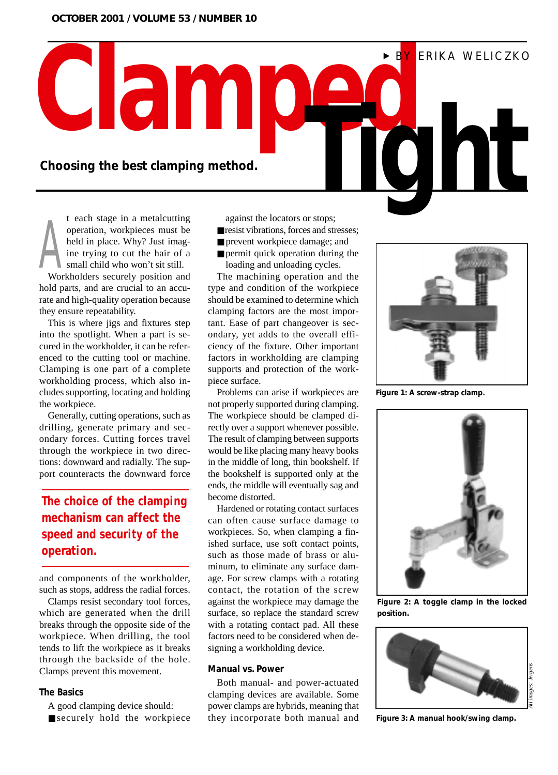# **Choosing the best clamping method.**

A<br>Wor t each stage in a metalcutting operation, workpieces must be held in place. Why? Just imagine trying to cut the hair of a small child who won't sit still. Workholders securely position and hold parts, and are crucial to an accurate and high-quality operation because

they ensure repeatability. This is where jigs and fixtures step into the spotlight. When a part is secured in the workholder, it can be referenced to the cutting tool or machine. Clamping is one part of a complete workholding process, which also includes supporting, locating and holding the workpiece.

Generally, cutting operations, such as drilling, generate primary and secondary forces. Cutting forces travel through the workpiece in two directions: downward and radially. The support counteracts the downward force

## **The choice of the clamping mechanism can affect the speed and security of the operation.**

and components of the workholder, such as stops, address the radial forces.

Clamps resist secondary tool forces, which are generated when the drill breaks through the opposite side of the workpiece. When drilling, the tool tends to lift the workpiece as it breaks through the backside of the hole. Clamps prevent this movement.

## **The Basics**

- A good clamping device should:
- securely hold the workpiece

against the locators or stops;

**Clamped** 

- resist vibrations, forces and stresses;
- prevent workpiece damage; and
- permit quick operation during the loading and unloading cycles.

The machining operation and the type and condition of the workpiece should be examined to determine which clamping factors are the most important. Ease of part changeover is secondary, yet adds to the overall efficiency of the fixture. Other important factors in workholding are clamping supports and protection of the workpiece surface.

Problems can arise if workpieces are not properly supported during clamping. The workpiece should be clamped directly over a support whenever possible. The result of clamping between supports would be like placing many heavy books in the middle of long, thin bookshelf. If the bookshelf is supported only at the ends, the middle will eventually sag and become distorted.

Hardened or rotating contact surfaces can often cause surface damage to workpieces. So, when clamping a finished surface, use soft contact points, such as those made of brass or aluminum, to eliminate any surface damage. For screw clamps with a rotating contact, the rotation of the screw against the workpiece may damage the surface, so replace the standard screw with a rotating contact pad. All these factors need to be considered when designing a workholding device.

### **Manual vs. Power**

Both manual- and power-actuated clamping devices are available. Some power clamps are hybrids, meaning that they incorporate both manual and

<sup>❿</sup> BY ERIKA WELICZKO

**Figure 1: A screw-strap clamp.**





**Figure 3: A manual hook/swing clamp.**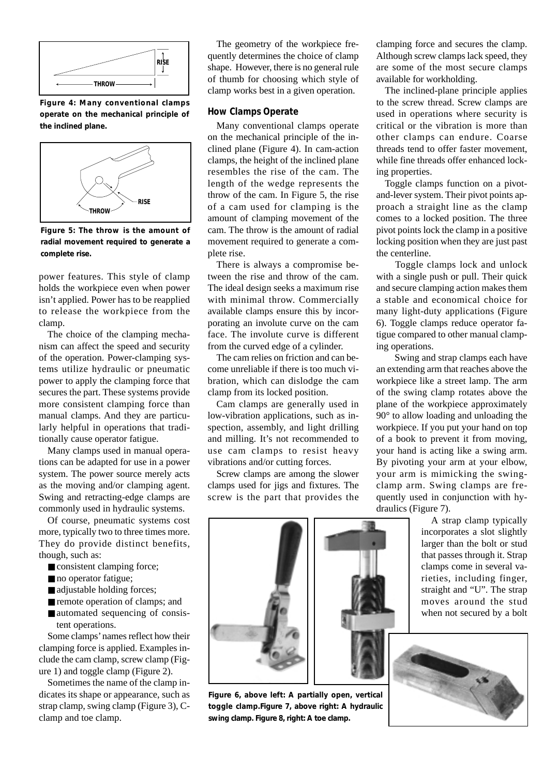

**Figure 4: Many conventional clamps operate on the mechanical principle of the inclined plane.**



**Figure 5: The throw is the amount of radial movement required to generate a complete rise.**

power features. This style of clamp holds the workpiece even when power isn't applied. Power has to be reapplied to release the workpiece from the clamp.

The choice of the clamping mechanism can affect the speed and security of the operation. Power-clamping systems utilize hydraulic or pneumatic power to apply the clamping force that secures the part. These systems provide more consistent clamping force than manual clamps. And they are particularly helpful in operations that traditionally cause operator fatigue.

Many clamps used in manual operations can be adapted for use in a power system. The power source merely acts as the moving and/or clamping agent. Swing and retracting-edge clamps are commonly used in hydraulic systems.

Of course, pneumatic systems cost more, typically two to three times more. They do provide distinct benefits, though, such as:

- consistent clamping force;
- no operator fatigue;
- adjustable holding forces;
- remote operation of clamps; and
- automated sequencing of consistent operations.

Some clamps'names reflect how their clamping force is applied. Examples include the cam clamp, screw clamp (Figure 1) and toggle clamp (Figure 2).

Sometimes the name of the clamp indicates its shape or appearance, such as strap clamp, swing clamp (Figure 3), Cclamp and toe clamp.

The geometry of the workpiece frequently determines the choice of clamp shape. However, there is no general rule of thumb for choosing which style of clamp works best in a given operation.

#### **How Clamps Operate**

Many conventional clamps operate on the mechanical principle of the inclined plane (Figure 4). In cam-action clamps, the height of the inclined plane resembles the rise of the cam. The length of the wedge represents the throw of the cam. In Figure 5, the rise of a cam used for clamping is the amount of clamping movement of the cam. The throw is the amount of radial movement required to generate a complete rise.

There is always a compromise between the rise and throw of the cam. The ideal design seeks a maximum rise with minimal throw. Commercially available clamps ensure this by incorporating an involute curve on the cam face. The involute curve is different from the curved edge of a cylinder.

The cam relies on friction and can become unreliable if there is too much vibration, which can dislodge the cam clamp from its locked position.

Cam clamps are generally used in low-vibration applications, such as inspection, assembly, and light drilling and milling. It's not recommended to use cam clamps to resist heavy vibrations and/or cutting forces.

Screw clamps are among the slower clamps used for jigs and fixtures. The screw is the part that provides the clamping force and secures the clamp. Although screw clamps lack speed, they are some of the most secure clamps available for workholding.

The inclined-plane principle applies to the screw thread. Screw clamps are used in operations where security is critical or the vibration is more than other clamps can endure. Coarse threads tend to offer faster movement, while fine threads offer enhanced locking properties.

Toggle clamps function on a pivotand-lever system. Their pivot points approach a straight line as the clamp comes to a locked position. The three pivot points lock the clamp in a positive locking position when they are just past the centerline.

Toggle clamps lock and unlock with a single push or pull. Their quick and secure clamping action makes them a stable and economical choice for many light-duty applications (Figure 6). Toggle clamps reduce operator fatigue compared to other manual clamping operations.

Swing and strap clamps each have an extending arm that reaches above the workpiece like a street lamp. The arm of the swing clamp rotates above the plane of the workpiece approximately 90° to allow loading and unloading the workpiece. If you put your hand on top of a book to prevent it from moving, your hand is acting like a swing arm. By pivoting your arm at your elbow, your arm is mimicking the swingclamp arm. Swing clamps are frequently used in conjunction with hydraulics (Figure 7).

A strap clamp typically incorporates a slot slightly larger than the bolt or stud that passes through it. Strap clamps come in several varieties, including finger, straight and "U". The strap moves around the stud when not secured by a bolt





**Figure 6, above left: A partially open, vertical toggle clamp.Figure 7, above right: A hydraulic swing clamp. Figure 8, right: A toe clamp.**